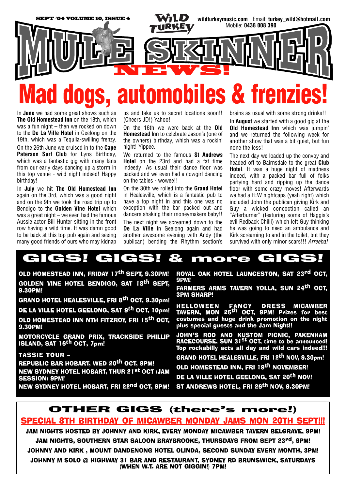

In **June** we had some great shows such as **The Old Homestead Inn** on the 18th, which was a fun night – then we rocked on down to the **De La Ville Hotel** in Geelong on the 19th, which was a Tequila-swilling frenzy. On the 26th June we cruised in to the **Cape Paterson Surf Club** for Lyns Birthday, which was a fantastic gig with many fans from our early days dancing up a storm in this top venue - wild night indeed! Happy birthday!

In **July** we hit **The Old Homestead Inn** again on the 3rd, which was a good night and on the 9th we took the road trip up to Bendigo to the **Golden Vine Hotel** which was a great night – we even had the famous Aussie actor Bill Hunter sitting in the front row having a wild time. It was damn good to be back at this top pub again and seeing many good friends of ours who may kidnap

us and take us to secret locations soon!! (Cheers JD!) Yahoo!

On the 16th we were back at the **Old Homestead Inn** to celebrate Jason's (one of the owners) birthday, which was a rockin' night! Yippee.

We returned to the famous **St Andrews Hotel** on the 23rd and had a fat time indeedy! As usual their dance floor was packed and we even had a cowgirl dancing on the tables - wowee!!

On the 30th we rolled into the **Grand Hotel** in Healesville, which is a fantastic pub to have a top night in and this one was no exception with the bar packed out and dancers shaking their moneymakers baby!! The next night we screamed down to the **De La Ville** in Geelong again and had another awesome evening with Andy (the publican) bending the Rhythm section's

brains as usual with some strong drinks!!

In **August** we started with a good gig at the **Old Homestead Inn** which was jumpin' and we returned the following week for another show that was a bit quiet, but fun none the less!

The next day we loaded up the convoy and headed off to Bairnsdale to the great **Club Hotel**. It was a huge night of madness indeed, with a packed bar full of folks partying hard and ripping up the dance floor with some crazy moves! Afterwards we had a FEW nightcaps (yeah right) which included John the publican giving Kirk and Guy a wicked concoction called an "Afterburner" (featuring some of Haggis's evil Redback Chilli) which left Guy thinking he was going to need an ambulance and Kirk screaming to and in the toilet, but they survived with only minor scars!!! *Arreeba!*

## GIGS! GIGS! & more GIGS!

OLD HOMESTEAD INN, FRIDAY 17th SEPT, 9.30PM! GOLDEN VINE HOTEL BENDIGO, SAT 18<sup>th</sup> SEPT, 9.30PM!

GRAND HOTEL HEALESVILLE, FRI 8<sup>th</sup> OCT, 9.30pm!

DE LA VILLE HOTEL GEELONG, SAT 9<sup>th</sup> OCT, 10pm!

OLD HOMESTEAD INN NTH FITZROY, FRI 15th OCT, 9.30PM!

MOTORCYCLE GRAND PRIX, TRACKSIDE PHILLIP ISLAND, SAT 16th OCT, 7pm!

TASSIE TOUR –

REPUBLIC BAR HOBART, WED 20<sup>th</sup> OCT, 9PM!

NEW SYDNEY HOTEL HOBART, THUR 21st OCT (JAM SESSION) 9PM!

NEW SYDNEY HOTEL HOBART, FRI 22<sup>nd</sup> OCT, 9PM!

ROYAL OAK HOTEL LAUNCESTON, SAT 23rd OCT, 9PM!

FARMERS ARMS TAVERN YOLLA, SUN 24th OCT, 3PM SHARP!

HELLOWEEN FANCY DRESS MICAWBER<br>Tavern, Mon 25<sup>th</sup> OCT, 9PM! Prizes for best costumes and huge drink promotion on the night plus special guests and the Jam Night!!

JOHN'S ROD AND KUSTOM PICNIC, PAKENHAM RACECOURSE, SUN 31<sup>st</sup> OCT, time to be announced! Top rockabilly acts all day and wild cars indeed!!!

GRAND HOTEL HEALESVILLE, FRI 12th NOV, 9.30pm!

OLD HOMESTEAD INN, FRI 19<sup>th</sup> NOVEMBER!

DE LA VILLE HOTEL GEELONG, SAT 20<sup>th</sup> NOV! ST ANDREWS HOTEL, FRI 26<sup>th</sup> NOV, 9.30PM!

## OTHER GIGS (there's more!)

## SPECIAL 8TH BIRTHDAY OF MICAWBER MONDAY JAMS MON 20TH SEPT!!!

JAM NIGHTS HOSTED BY JOHNNY AND KIRK, EVERY MONDAY MICAWBER TAVERN BELGRAVE, 9PM! JAM NIGHTS, SOUTHERN STAR SALOON BRAYBROOKE, THURSDAYS FROM SEPT 23<sup>rd</sup>, 9PM! JOHNNY AND KIRK , MOUNT DANDENONG HOTEL OLINDA, SECOND SUNDAY EVERY MONTH, 3PM! JOHNNY M SOLO @ HIGHWAY 31 BAR AND RESTAURANT, SYDNEY RD BRUNSWICK, SATURDAYS

(WHEN W.T. ARE NOT GIGGIN!) 7PM!